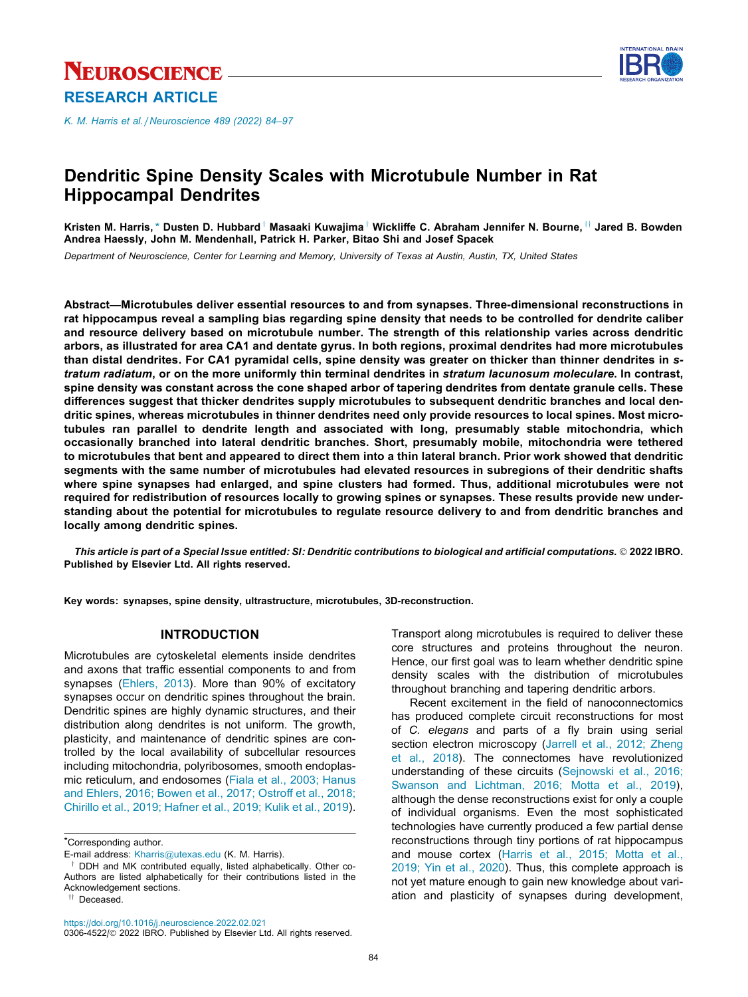[K. M. Harris et al. / Neuroscience 489 \(2022\) 84–97](https://doi.org/10.1016/j.neuroscience.2022.02.021)



# Dendritic Spine Density Scales with Microtubule Number in Rat Hippocampal Dendrites

Kristen M. Harris, \* Dusten D. Hubbard  $^\dagger$  Masaaki Kuwaiima  $^\dagger$  Wickliffe C. Abraham Jennifer N. Bourne,  $^{tt}$  Jared B. Bowden Andrea Haessly, John M. Mendenhall, Patrick H. Parker, Bitao Shi and Josef Spacek

Department of Neuroscience, Center for Learning and Memory, University of Texas at Austin, Austin, TX, United States

Abstract—Microtubules deliver essential resources to and from synapses. Three-dimensional reconstructions in rat hippocampus reveal a sampling bias regarding spine density that needs to be controlled for dendrite caliber and resource delivery based on microtubule number. The strength of this relationship varies across dendritic arbors, as illustrated for area CA1 and dentate gyrus. In both regions, proximal dendrites had more microtubules than distal dendrites. For CA1 pyramidal cells, spine density was greater on thicker than thinner dendrites in stratum radiatum, or on the more uniformly thin terminal dendrites in stratum lacunosum moleculare. In contrast, spine density was constant across the cone shaped arbor of tapering dendrites from dentate granule cells. These differences suggest that thicker dendrites supply microtubules to subsequent dendritic branches and local dendritic spines, whereas microtubules in thinner dendrites need only provide resources to local spines. Most microtubules ran parallel to dendrite length and associated with long, presumably stable mitochondria, which occasionally branched into lateral dendritic branches. Short, presumably mobile, mitochondria were tethered to microtubules that bent and appeared to direct them into a thin lateral branch. Prior work showed that dendritic segments with the same number of microtubules had elevated resources in subregions of their dendritic shafts where spine synapses had enlarged, and spine clusters had formed. Thus, additional microtubules were not required for redistribution of resources locally to growing spines or synapses. These results provide new understanding about the potential for microtubules to regulate resource delivery to and from dendritic branches and locally among dendritic spines.

This article is part of a Special Issue entitled: SI: Dendritic contributions to biological and artificial computations. 2022 IBRO. Published by Elsevier Ltd. All rights reserved.

Key words: synapses, spine density, ultrastructure, microtubules, 3D-reconstruction.

# INTRODUCTION

Microtubules are cytoskeletal elements inside dendrites and axons that traffic essential components to and from synapses [\(Ehlers, 2013\)](#page-12-0). More than 90% of excitatory synapses occur on dendritic spines throughout the brain. Dendritic spines are highly dynamic structures, and their distribution along dendrites is not uniform. The growth, plasticity, and maintenance of dendritic spines are controlled by the local availability of subcellular resources including mitochondria, polyribosomes, smooth endoplasmic reticulum, and endosomes ([Fiala et al., 2003; Hanus](#page-12-0) [and Ehlers, 2016; Bowen et al., 2017; Ostroff et al., 2018;](#page-12-0) [Chirillo et al., 2019; Hafner et al., 2019; Kulik et al., 2019\)](#page-12-0).

<https://doi.org/10.1016/j.neuroscience.2022.02.021>

Transport along microtubules is required to deliver these core structures and proteins throughout the neuron. Hence, our first goal was to learn whether dendritic spine density scales with the distribution of microtubules throughout branching and tapering dendritic arbors.

Recent excitement in the field of nanoconnectomics has produced complete circuit reconstructions for most of C. elegans and parts of a fly brain using serial section electron microscopy ([Jarrell et al., 2012; Zheng](#page-12-0) [et al., 2018](#page-12-0)). The connectomes have revolutionized understanding of these circuits ([Sejnowski et al., 2016;](#page-13-0) [Swanson and Lichtman, 2016; Motta et al., 2019\)](#page-13-0), although the dense reconstructions exist for only a couple of individual organisms. Even the most sophisticated technologies have currently produced a few partial dense reconstructions through tiny portions of rat hippocampus and mouse cortex ([Harris et al., 2015; Motta et al.,](#page-12-0) [2019; Yin et al., 2020](#page-12-0)). Thus, this complete approach is not yet mature enough to gain new knowledge about variation and plasticity of synapses during development,

<sup>\*</sup>Corresponding author.

E-mail address: [Kharris@utexas.edu](mailto:Kharris@utexas.edu) (K. M. Harris).

DDH and MK contributed equally, listed alphabetically. Other co-Authors are listed alphabetically for their contributions listed in the Acknowledgement sections.

<sup>&</sup>lt;sup>††</sup> Deceased.

<sup>0306-4522/ 2022</sup> IBRO. Published by Elsevier Ltd. All rights reserved.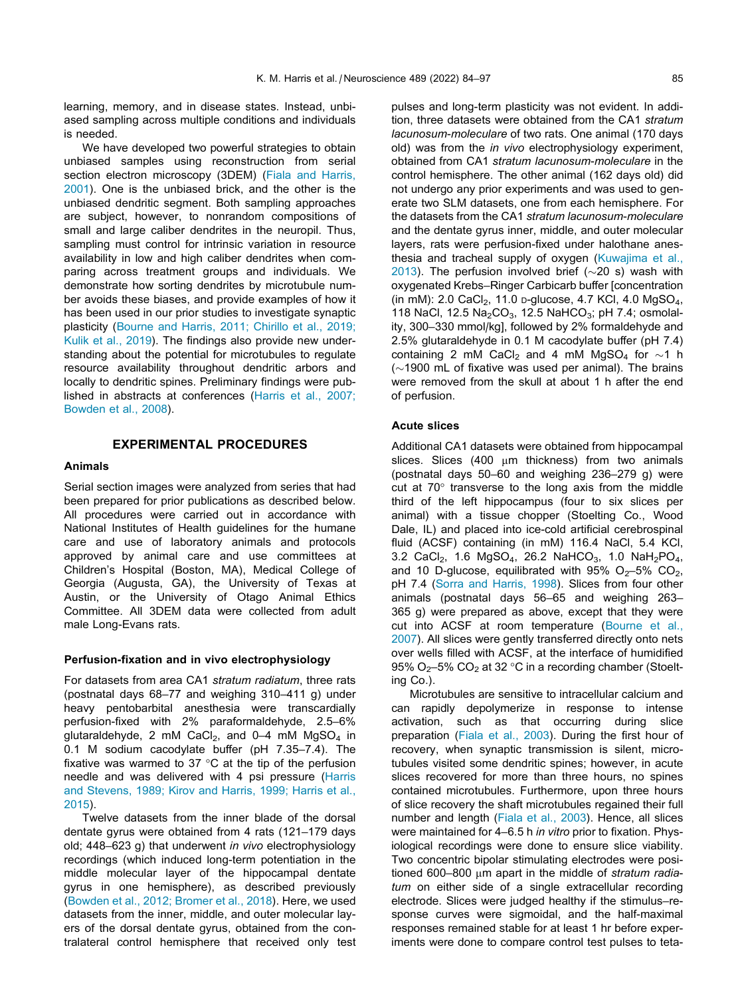learning, memory, and in disease states. Instead, unbiased sampling across multiple conditions and individuals is needed.

We have developed two powerful strategies to obtain unbiased samples using reconstruction from serial section electron microscopy (3DEM) [\(Fiala and Harris,](#page-12-0) [2001](#page-12-0)). One is the unbiased brick, and the other is the unbiased dendritic segment. Both sampling approaches are subject, however, to nonrandom compositions of small and large caliber dendrites in the neuropil. Thus, sampling must control for intrinsic variation in resource availability in low and high caliber dendrites when comparing across treatment groups and individuals. We demonstrate how sorting dendrites by microtubule number avoids these biases, and provide examples of how it has been used in our prior studies to investigate synaptic plasticity ([Bourne and Harris, 2011; Chirillo et al., 2019;](#page-11-0) [Kulik et al., 2019\)](#page-11-0). The findings also provide new understanding about the potential for microtubules to regulate resource availability throughout dendritic arbors and locally to dendritic spines. Preliminary findings were published in abstracts at conferences ([Harris et al., 2007;](#page-12-0) [Bowden et al., 2008](#page-12-0)).

# EXPERIMENTAL PROCEDURES

## Animals

Serial section images were analyzed from series that had been prepared for prior publications as described below. All procedures were carried out in accordance with National Institutes of Health guidelines for the humane care and use of laboratory animals and protocols approved by animal care and use committees at Children's Hospital (Boston, MA), Medical College of Georgia (Augusta, GA), the University of Texas at Austin, or the University of Otago Animal Ethics Committee. All 3DEM data were collected from adult male Long-Evans rats.

#### Perfusion-fixation and in vivo electrophysiology

For datasets from area CA1 stratum radiatum, three rats (postnatal days 68–77 and weighing 310–411 g) under heavy pentobarbital anesthesia were transcardially perfusion-fixed with 2% paraformaldehyde, 2.5–6% glutaraldehyde, 2 mM CaCl<sub>2</sub>, and  $0-4$  mM MgSO<sub>4</sub> in 0.1 M sodium cacodylate buffer (pH 7.35–7.4). The fixative was warmed to  $37 \degree C$  at the tip of the perfusion needle and was delivered with 4 psi pressure ([Harris](#page-12-0) [and Stevens, 1989; Kirov and Harris, 1999; Harris et al.,](#page-12-0) [2015](#page-12-0)).

Twelve datasets from the inner blade of the dorsal dentate gyrus were obtained from 4 rats (121–179 days old; 448–623 g) that underwent in vivo electrophysiology recordings (which induced long-term potentiation in the middle molecular layer of the hippocampal dentate gyrus in one hemisphere), as described previously [\(Bowden et al., 2012; Bromer et al., 2018\)](#page-12-0). Here, we used datasets from the inner, middle, and outer molecular layers of the dorsal dentate gyrus, obtained from the contralateral control hemisphere that received only test pulses and long-term plasticity was not evident. In addition, three datasets were obtained from the CA1 stratum lacunosum-moleculare of two rats. One animal (170 days old) was from the in vivo electrophysiology experiment, obtained from CA1 stratum lacunosum-moleculare in the control hemisphere. The other animal (162 days old) did not undergo any prior experiments and was used to generate two SLM datasets, one from each hemisphere. For the datasets from the CA1 stratum lacunosum-moleculare and the dentate gyrus inner, middle, and outer molecular layers, rats were perfusion-fixed under halothane anes-thesia and tracheal supply of oxygen [\(Kuwajima et al.,](#page-12-0) [2013](#page-12-0)). The perfusion involved brief  $(\sim 20 \text{ s})$  wash with oxygenated Krebs–Ringer Carbicarb buffer [concentration (in mM): 2.0 CaCl<sub>2</sub>, 11.0 p-glucose, 4.7 KCl, 4.0 MgSO<sub>4</sub>, 118 NaCl, 12.5 Na<sub>2</sub>CO<sub>3</sub>, 12.5 NaHCO<sub>3</sub>; pH 7.4; osmolality, 300–330 mmol/kg], followed by 2% formaldehyde and 2.5% glutaraldehyde in 0.1 M cacodylate buffer (pH 7.4) containing 2 mM CaCl<sub>2</sub> and 4 mM MgSO<sub>4</sub> for  $\sim$ 1 h  $(\sim 1900 \text{ mL of fixative was used per animal}).$  The brains were removed from the skull at about 1 h after the end of perfusion.

## Acute slices

Additional CA1 datasets were obtained from hippocampal slices. Slices  $(400 \mu m$  thickness) from two animals (postnatal days 50–60 and weighing 236–279 g) were cut at  $70^\circ$  transverse to the long axis from the middle third of the left hippocampus (four to six slices per animal) with a tissue chopper (Stoelting Co., Wood Dale, IL) and placed into ice-cold artificial cerebrospinal fluid (ACSF) containing (in mM) 116.4 NaCl, 5.4 KCl, 3.2 CaCl<sub>2</sub>, 1.6 MgSO<sub>4</sub>, 26.2 NaHCO<sub>3</sub>, 1.0 NaH<sub>2</sub>PO<sub>4</sub>, and 10 D-glucose, equilibrated with 95%  $O<sub>2</sub>$ -5%  $CO<sub>2</sub>$ , pH 7.4 [\(Sorra and Harris, 1998\)](#page-13-0). Slices from four other animals (postnatal days 56–65 and weighing 263– 365 g) were prepared as above, except that they were cut into ACSF at room temperature [\(Bourne et al.,](#page-12-0) [2007](#page-12-0)). All slices were gently transferred directly onto nets over wells filled with ACSF, at the interface of humidified 95% O<sub>2</sub>–5% CO<sub>2</sub> at 32 °C in a recording chamber (Stoelting Co.).

Microtubules are sensitive to intracellular calcium and can rapidly depolymerize in response to intense activation, such as that occurring during slice preparation [\(Fiala et al., 2003\)](#page-12-0). During the first hour of recovery, when synaptic transmission is silent, microtubules visited some dendritic spines; however, in acute slices recovered for more than three hours, no spines contained microtubules. Furthermore, upon three hours of slice recovery the shaft microtubules regained their full number and length ([Fiala et al., 2003](#page-12-0)). Hence, all slices were maintained for 4–6.5 h in vitro prior to fixation. Physiological recordings were done to ensure slice viability. Two concentric bipolar stimulating electrodes were positioned 600–800  $\mu$ m apart in the middle of stratum radiatum on either side of a single extracellular recording electrode. Slices were judged healthy if the stimulus–response curves were sigmoidal, and the half-maximal responses remained stable for at least 1 hr before experiments were done to compare control test pulses to teta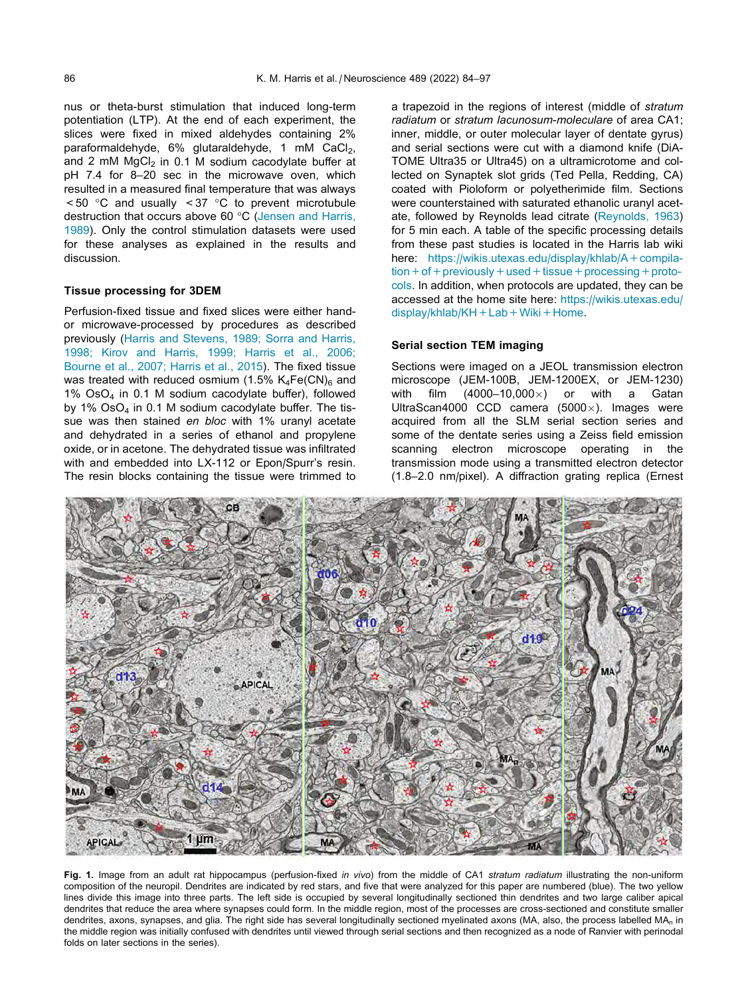<span id="page-2-0"></span>nus or theta-burst stimulation that induced long-term potentiation (LTP). At the end of each experiment, the slices were fixed in mixed aldehydes containing 2% paraformaldehyde, 6% glutaraldehyde, 1 mM CaCl<sub>2</sub>, and 2 mM  $MgCl<sub>2</sub>$  in 0.1 M sodium cacodylate buffer at pH 7.4 for 8–20 sec in the microwave oven, which resulted in a measured final temperature that was always  $\leq$  50 °C and usually  $\leq$  37 °C to prevent microtubule destruction that occurs above  $60^{\circ}$ C [\(Jensen and Harris,](#page-12-0) [1989](#page-12-0)). Only the control stimulation datasets were used for these analyses as explained in the results and discussion.

#### Tissue processing for 3DEM

Perfusion-fixed tissue and fixed slices were either handor microwave-processed by procedures as described previously ([Harris and Stevens, 1989; Sorra and Harris,](#page-12-0) [1998; Kirov and Harris, 1999; Harris et al., 2006;](#page-12-0) [Bourne et al., 2007; Harris et al., 2015](#page-12-0)). The fixed tissue was treated with reduced osmium (1.5%  $K_4Fe(CN)_6$  and 1% OsO4 in 0.1 M sodium cacodylate buffer), followed by 1%  $OsO<sub>4</sub>$  in 0.1 M sodium cacodylate buffer. The tissue was then stained en bloc with 1% uranyl acetate and dehydrated in a series of ethanol and propylene oxide, or in acetone. The dehydrated tissue was infiltrated with and embedded into LX-112 or Epon/Spurr's resin. The resin blocks containing the tissue were trimmed to

a trapezoid in the regions of interest (middle of stratum radiatum or stratum lacunosum-moleculare of area CA1; inner, middle, or outer molecular layer of dentate gyrus) and serial sections were cut with a diamond knife (DiA-TOME Ultra35 or Ultra45) on a ultramicrotome and collected on Synaptek slot grids (Ted Pella, Redding, CA) coated with Pioloform or polyetherimide film. Sections were counterstained with saturated ethanolic uranyl acetate, followed by Reynolds lead citrate [\(Reynolds, 1963](#page-12-0)) for 5 min each. A table of the specific processing details from these past studies is located in the Harris lab wiki here: [https://wikis.utexas.edu/display/khlab/A+compila-](https://wikis.utexas.edu/display/khlab/A%2bcompilation%2bof%2bpreviously%2bused%2btissue%2bprocessing%2bprotocols) $\frac{\text{tion} + \text{of} + \text{previously} + \text{used} + \text{tissue} + \text{processing} + \text{proto} - \text{t}}{1}$ [cols](https://wikis.utexas.edu/display/khlab/A%2bcompilation%2bof%2bpreviously%2bused%2btissue%2bprocessing%2bprotocols). In addition, when protocols are updated, they can be accessed at the home site here: [https://wikis.utexas.edu/](https://wikis.utexas.edu/display/khlab/KH%2bLab%2bWiki%2bHome) [display/khlab/KH+Lab+Wiki+Home.](https://wikis.utexas.edu/display/khlab/KH%2bLab%2bWiki%2bHome)

#### Serial section TEM imaging

Sections were imaged on a JEOL transmission electron microscope (JEM-100B, JEM-1200EX, or JEM-1230) with film  $(4000-10,000\times)$  or with a Gatan UltraScan4000 CCD camera  $(5000\times)$ . Images were acquired from all the SLM serial section series and some of the dentate series using a Zeiss field emission scanning electron microscope operating in the transmission mode using a transmitted electron detector (1.8–2.0 nm/pixel). A diffraction grating replica (Ernest



Fig. 1. Image from an adult rat hippocampus (perfusion-fixed in vivo) from the middle of CA1 stratum radiatum illustrating the non-uniform composition of the neuropil. Dendrites are indicated by red stars, and five that were analyzed for this paper are numbered (blue). The two yellow lines divide this image into three parts. The left side is occupied by several longitudinally sectioned thin dendrites and two large caliber apical dendrites that reduce the area where synapses could form. In the middle region, most of the processes are cross-sectioned and constitute smaller dendrites, axons, synapses, and glia. The right side has several longitudinally sectioned myelinated axons (MA, also, the process labelled MAn in the middle region was initially confused with dendrites until viewed through serial sections and then recognized as a node of Ranvier with perinodal folds on later sections in the series).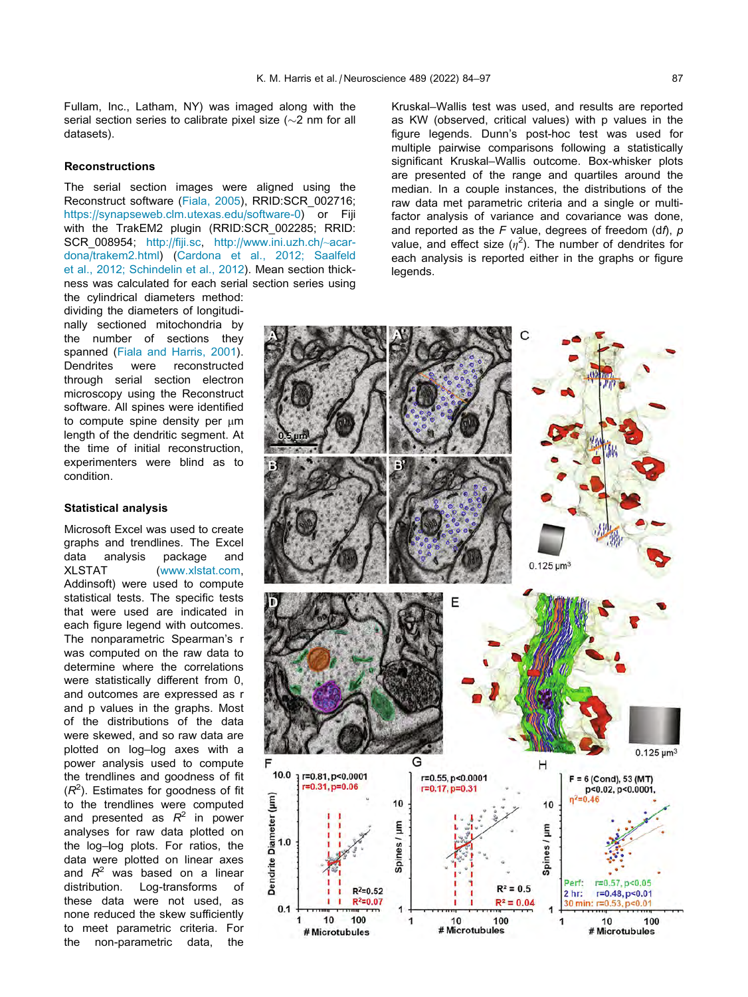#### Reconstructions

The serial section images were aligned using the Reconstruct software [\(Fiala, 2005\)](#page-12-0), RRID:SCR\_002716; [https://synapseweb.clm.utexas.edu/software-0\)](https://synapseweb.clm.utexas.edu/software-0) or Fiji with the TrakEM2 plugin (RRID:SCR 002285; RRID: SCR\_008954; [http://fiji.sc](http://fiji.sc/), [http://www.ini.uzh.ch/](http://www.ini.uzh.ch/%7eacardona/trakem2.html)~acar[dona/trakem2.html](http://www.ini.uzh.ch/%7eacardona/trakem2.html)) [\(Cardona et al., 2012; Saalfeld](#page-12-0) [et al., 2012; Schindelin et al., 2012\)](#page-12-0). Mean section thickness was calculated for each serial section series using

the cylindrical diameters method: dividing the diameters of longitudinally sectioned mitochondria by the number of sections they spanned [\(Fiala and Harris, 2001\)](#page-12-0). Dendrites were reconstructed through serial section electron microscopy using the Reconstruct software. All spines were identified to compute spine density per  $µm$ length of the dendritic segment. At the time of initial reconstruction, experimenters were blind as to condition.

#### Statistical analysis

Microsoft Excel was used to create graphs and trendlines. The Excel data analysis package and XLSTAT ([www.xlstat.com,](http://www.xlstat.com/) Addinsoft) were used to compute statistical tests. The specific tests that were used are indicated in each figure legend with outcomes. The nonparametric Spearman's r was computed on the raw data to determine where the correlations were statistically different from 0, and outcomes are expressed as r and p values in the graphs. Most of the distributions of the data were skewed, and so raw data are plotted on log–log axes with a power analysis used to compute the trendlines and goodness of fit  $(R<sup>2</sup>)$ . Estimates for goodness of fit to the trendlines were computed and presented as  $R^2$  in power analyses for raw data plotted on the log–log plots. For ratios, the data were plotted on linear axes and  $R^2$  was based on a linear distribution. Log-transforms of these data were not used, as none reduced the skew sufficiently to meet parametric criteria. For the non-parametric data, the Kruskal–Wallis test was used, and results are reported as KW (observed, critical values) with p values in the figure legends. Dunn's post-hoc test was used for multiple pairwise comparisons following a statistically significant Kruskal–Wallis outcome. Box-whisker plots are presented of the range and quartiles around the median. In a couple instances, the distributions of the raw data met parametric criteria and a single or multifactor analysis of variance and covariance was done, and reported as the  $F$  value, degrees of freedom (df),  $p$ value, and effect size  $(\eta^2)$ . The number of dendrites for each analysis is reported either in the graphs or figure each analysis is reported either in the graphs or figure legends.

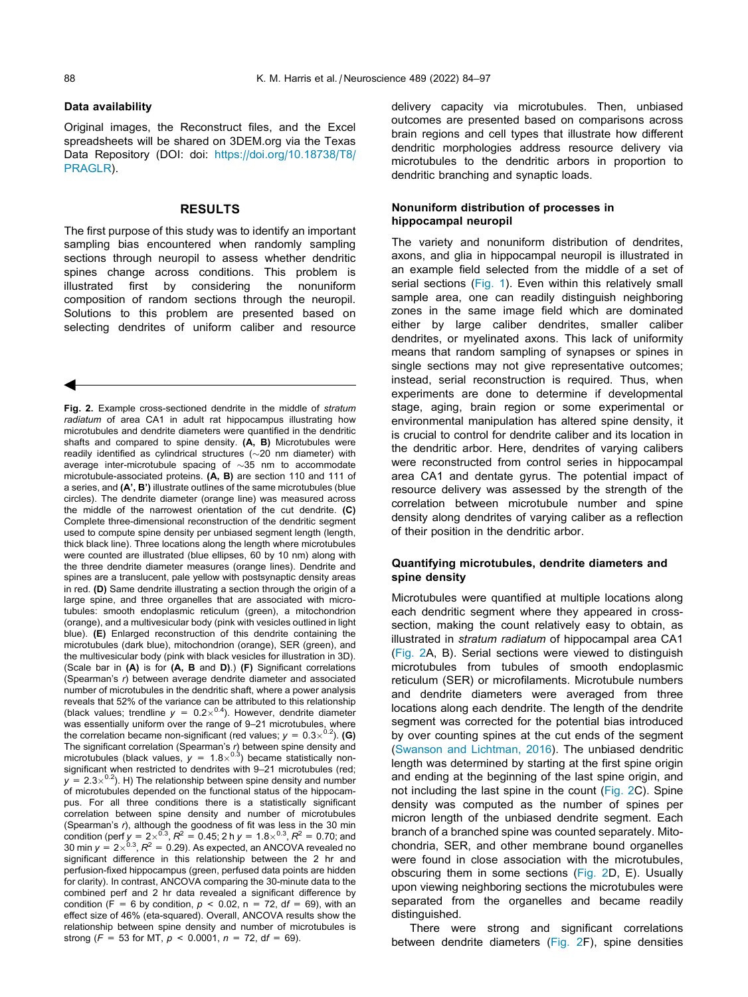$\blacktriangleleft$ 

#### <span id="page-4-0"></span>Data availability

Original images, the Reconstruct files, and the Excel spreadsheets will be shared on 3DEM.org via the Texas Data Repository (DOI: doi: [https://doi.org/10.18738/T8/](https://doi.org/10.18738/T8/PRAGLR) [PRAGLR\)](https://doi.org/10.18738/T8/PRAGLR).

## RESULTS

The first purpose of this study was to identify an important sampling bias encountered when randomly sampling sections through neuropil to assess whether dendritic spines change across conditions. This problem is illustrated first by considering the nonuniform composition of random sections through the neuropil. Solutions to this problem are presented based on selecting dendrites of uniform caliber and resource

Fig. 2. Example cross-sectioned dendrite in the middle of stratum radiatum of area CA1 in adult rat hippocampus illustrating how microtubules and dendrite diameters were quantified in the dendritic shafts and compared to spine density. (A, B) Microtubules were readily identified as cylindrical structures  $(\sim 20$  nm diameter) with average inter-microtubule spacing of  $\sim$ 35 nm to accommodate microtubule-associated proteins. (A, B) are section 110 and 111 of a series, and (A', B') illustrate outlines of the same microtubules (blue circles). The dendrite diameter (orange line) was measured across the middle of the narrowest orientation of the cut dendrite. (C) Complete three-dimensional reconstruction of the dendritic segment used to compute spine density per unbiased segment length (length, thick black line). Three locations along the length where microtubules were counted are illustrated (blue ellipses, 60 by 10 nm) along with the three dendrite diameter measures (orange lines). Dendrite and spines are a translucent, pale yellow with postsynaptic density areas in red. (D) Same dendrite illustrating a section through the origin of a large spine, and three organelles that are associated with microtubules: smooth endoplasmic reticulum (green), a mitochondrion (orange), and a multivesicular body (pink with vesicles outlined in light blue). (E) Enlarged reconstruction of this dendrite containing the microtubules (dark blue), mitochondrion (orange), SER (green), and the multivesicular body (pink with black vesicles for illustration in 3D). (Scale bar in (A) is for (A, B and D).) (F) Significant correlations (Spearman's r) between average dendrite diameter and associated number of microtubules in the dendritic shaft, where a power analysis reveals that 52% of the variance can be attributed to this relationship (black values; trendline  $y = 0.2 \times 0.4$ ). However, dendrite diameter was essentially uniform over the range of 9–21 microtubules, where<br>the correlation became non-significant (red values;  $y = 0.3 \times 0.2$ ). (G) The significant correlation (Spearman's *r*) between spine density and microtubules (black values,  $y = 1.8 \times 0.3$ ) became statistically nonsignificant when restricted to dendrites with 9–21 microtubules (red;  $y = 2.3 \times 0.2$ ). H) The relationship between spine density and number of microtubules depended on the functional status of the hippocampus. For all three conditions there is a statistically significant correlation between spine density and number of microtubules (Spearman's  $r$ ), although the goodness of fit was less in the 30 min condition (perf  $y = 2 \times^{0.3}$ ,  $R^2 = 0.45$ ; 2 h  $y = 1.8 \times^{0.3}$ ,  $R^2 = 0.70$ ; and 30 min  $y = 2 \times^{0.3}$ ,  $R^2 = 0.29$ ). As expected, an ANCOVA revealed no significant difference in this relationship between the 2 hr and perfusion-fixed hippocampus (green, perfused data points are hidden for clarity). In contrast, ANCOVA comparing the 30-minute data to the combined perf and 2 hr data revealed a significant difference by condition (F = 6 by condition,  $p$  < 0.02, n = 72, df = 69), with an effect size of 46% (eta-squared). Overall, ANCOVA results show the relationship between spine density and number of microtubules is strong ( $F = 53$  for MT,  $p < 0.0001$ ,  $n = 72$ , df = 69).

delivery capacity via microtubules. Then, unbiased outcomes are presented based on comparisons across brain regions and cell types that illustrate how different dendritic morphologies address resource delivery via microtubules to the dendritic arbors in proportion to dendritic branching and synaptic loads.

#### Nonuniform distribution of processes in hippocampal neuropil

The variety and nonuniform distribution of dendrites, axons, and glia in hippocampal neuropil is illustrated in an example field selected from the middle of a set of serial sections [\(Fig. 1\)](#page-2-0). Even within this relatively small sample area, one can readily distinguish neighboring zones in the same image field which are dominated either by large caliber dendrites, smaller caliber dendrites, or myelinated axons. This lack of uniformity means that random sampling of synapses or spines in single sections may not give representative outcomes; instead, serial reconstruction is required. Thus, when experiments are done to determine if developmental stage, aging, brain region or some experimental or environmental manipulation has altered spine density, it is crucial to control for dendrite caliber and its location in the dendritic arbor. Here, dendrites of varying calibers were reconstructed from control series in hippocampal area CA1 and dentate gyrus. The potential impact of resource delivery was assessed by the strength of the correlation between microtubule number and spine density along dendrites of varying caliber as a reflection of their position in the dendritic arbor.

# Quantifying microtubules, dendrite diameters and spine density

Microtubules were quantified at multiple locations along each dendritic segment where they appeared in crosssection, making the count relatively easy to obtain, as illustrated in stratum radiatum of hippocampal area CA1 (Fig. 2A, B). Serial sections were viewed to distinguish microtubules from tubules of smooth endoplasmic reticulum (SER) or microfilaments. Microtubule numbers and dendrite diameters were averaged from three locations along each dendrite. The length of the dendrite segment was corrected for the potential bias introduced by over counting spines at the cut ends of the segment ([Swanson and Lichtman, 2016](#page-13-0)). The unbiased dendritic length was determined by starting at the first spine origin and ending at the beginning of the last spine origin, and not including the last spine in the count (Fig. 2C). Spine density was computed as the number of spines per micron length of the unbiased dendrite segment. Each branch of a branched spine was counted separately. Mitochondria, SER, and other membrane bound organelles were found in close association with the microtubules, obscuring them in some sections (Fig. 2D, E). Usually upon viewing neighboring sections the microtubules were separated from the organelles and became readily distinguished.

There were strong and significant correlations between dendrite diameters (Fig. 2F), spine densities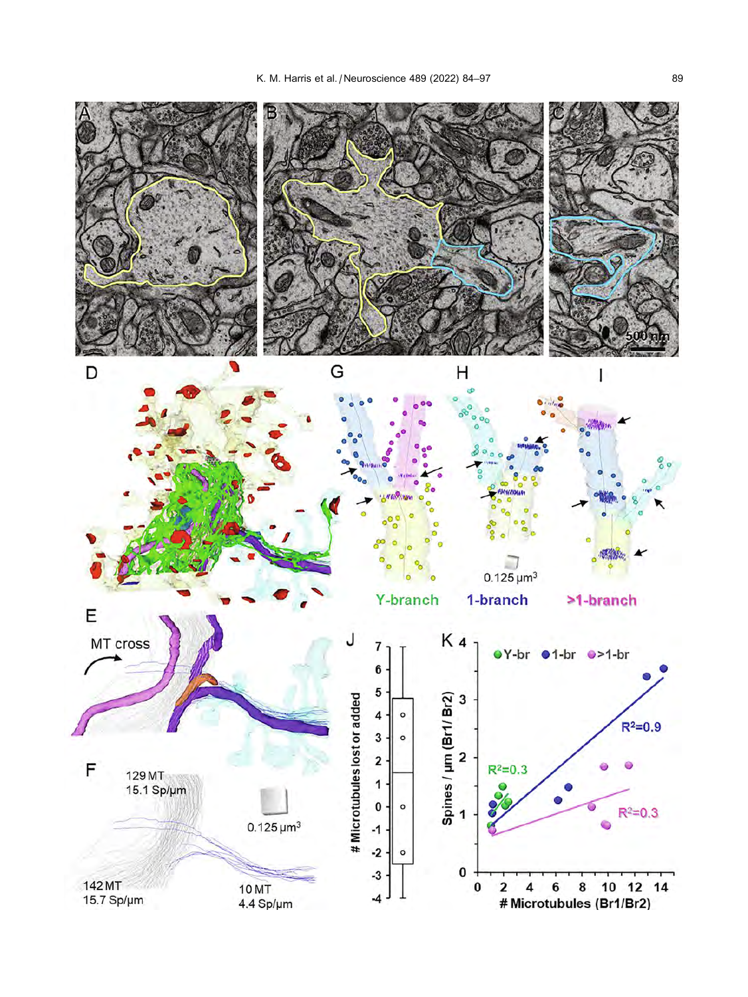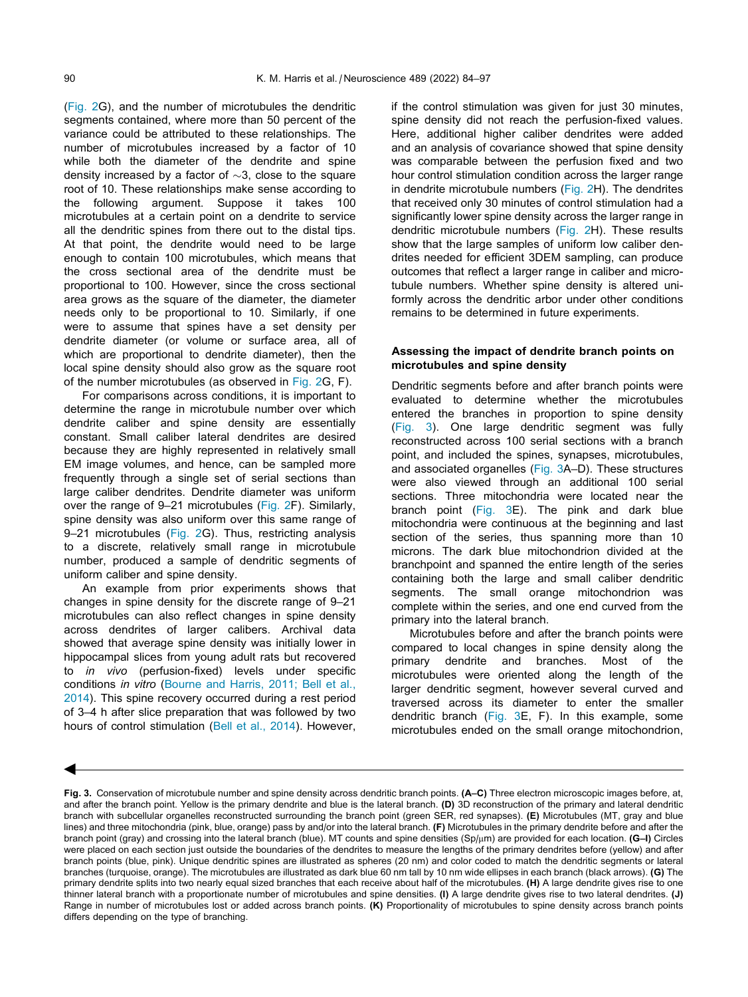$\blacktriangleleft$ 

<span id="page-6-0"></span>[\(Fig. 2](#page-4-0)G), and the number of microtubules the dendritic segments contained, where more than 50 percent of the variance could be attributed to these relationships. The number of microtubules increased by a factor of 10 while both the diameter of the dendrite and spine density increased by a factor of  $\sim$ 3, close to the square root of 10. These relationships make sense according to the following argument. Suppose it takes 100 microtubules at a certain point on a dendrite to service all the dendritic spines from there out to the distal tips. At that point, the dendrite would need to be large enough to contain 100 microtubules, which means that the cross sectional area of the dendrite must be proportional to 100. However, since the cross sectional area grows as the square of the diameter, the diameter needs only to be proportional to 10. Similarly, if one were to assume that spines have a set density per dendrite diameter (or volume or surface area, all of which are proportional to dendrite diameter), then the local spine density should also grow as the square root of the number microtubules (as observed in [Fig. 2](#page-4-0)G, F).

For comparisons across conditions, it is important to determine the range in microtubule number over which dendrite caliber and spine density are essentially constant. Small caliber lateral dendrites are desired because they are highly represented in relatively small EM image volumes, and hence, can be sampled more frequently through a single set of serial sections than large caliber dendrites. Dendrite diameter was uniform over the range of 9–21 microtubules ([Fig. 2F](#page-4-0)). Similarly, spine density was also uniform over this same range of 9–21 microtubules ([Fig. 2G](#page-4-0)). Thus, restricting analysis to a discrete, relatively small range in microtubule number, produced a sample of dendritic segments of uniform caliber and spine density.

An example from prior experiments shows that changes in spine density for the discrete range of 9–21 microtubules can also reflect changes in spine density across dendrites of larger calibers. Archival data showed that average spine density was initially lower in hippocampal slices from young adult rats but recovered to in vivo (perfusion-fixed) levels under specific conditions in vitro [\(Bourne and Harris, 2011; Bell et al.,](#page-11-0) [2014](#page-11-0)). This spine recovery occurred during a rest period of 3–4 h after slice preparation that was followed by two hours of control stimulation ([Bell et al., 2014\)](#page-11-0). However,

if the control stimulation was given for just 30 minutes, spine density did not reach the perfusion-fixed values. Here, additional higher caliber dendrites were added and an analysis of covariance showed that spine density was comparable between the perfusion fixed and two hour control stimulation condition across the larger range in dendrite microtubule numbers ([Fig. 2H](#page-4-0)). The dendrites that received only 30 minutes of control stimulation had a significantly lower spine density across the larger range in dendritic microtubule numbers ([Fig. 2H](#page-4-0)). These results show that the large samples of uniform low caliber dendrites needed for efficient 3DEM sampling, can produce outcomes that reflect a larger range in caliber and microtubule numbers. Whether spine density is altered uniformly across the dendritic arbor under other conditions remains to be determined in future experiments.

## Assessing the impact of dendrite branch points on microtubules and spine density

Dendritic segments before and after branch points were evaluated to determine whether the microtubules entered the branches in proportion to spine density (Fig. 3). One large dendritic segment was fully reconstructed across 100 serial sections with a branch point, and included the spines, synapses, microtubules, and associated organelles (Fig. 3A–D). These structures were also viewed through an additional 100 serial sections. Three mitochondria were located near the branch point (Fig. 3E). The pink and dark blue mitochondria were continuous at the beginning and last section of the series, thus spanning more than 10 microns. The dark blue mitochondrion divided at the branchpoint and spanned the entire length of the series containing both the large and small caliber dendritic segments. The small orange mitochondrion was complete within the series, and one end curved from the primary into the lateral branch.

Microtubules before and after the branch points were compared to local changes in spine density along the primary dendrite and branches. Most of the microtubules were oriented along the length of the larger dendritic segment, however several curved and traversed across its diameter to enter the smaller dendritic branch (Fig. 3E, F). In this example, some microtubules ended on the small orange mitochondrion,

Fig. 3. Conservation of microtubule number and spine density across dendritic branch points. (A-C) Three electron microscopic images before, at, and after the branch point. Yellow is the primary dendrite and blue is the lateral branch. (D) 3D reconstruction of the primary and lateral dendritic branch with subcellular organelles reconstructed surrounding the branch point (green SER, red synapses). (E) Microtubules (MT, gray and blue lines) and three mitochondria (pink, blue, orange) pass by and/or into the lateral branch. (F) Microtubules in the primary dendrite before and after the branch point (gray) and crossing into the lateral branch (blue). MT counts and spine densities  $(Sp/\mu m)$  are provided for each location. (G-I) Circles were placed on each section just outside the boundaries of the dendrites to measure the lengths of the primary dendrites before (yellow) and after branch points (blue, pink). Unique dendritic spines are illustrated as spheres (20 nm) and color coded to match the dendritic segments or lateral branches (turquoise, orange). The microtubules are illustrated as dark blue 60 nm tall by 10 nm wide ellipses in each branch (black arrows). (G) The primary dendrite splits into two nearly equal sized branches that each receive about half of the microtubules. (H) A large dendrite gives rise to one thinner lateral branch with a proportionate number of microtubules and spine densities. (I) A large dendrite gives rise to two lateral dendrites. (J) Range in number of microtubules lost or added across branch points. (K) Proportionality of microtubules to spine density across branch points differs depending on the type of branching.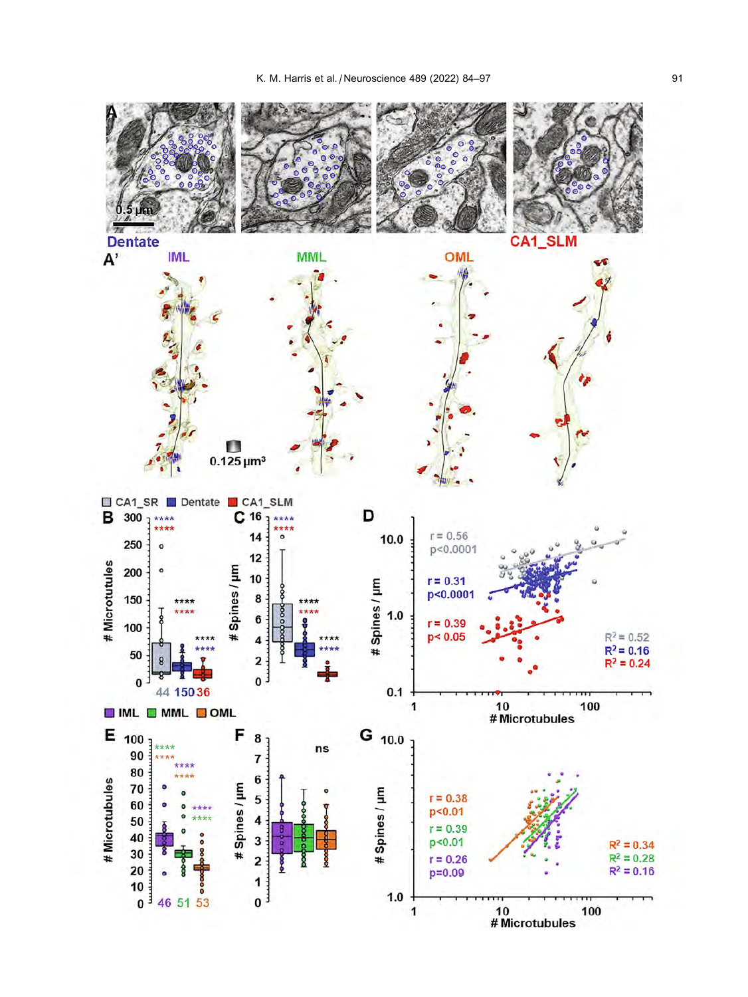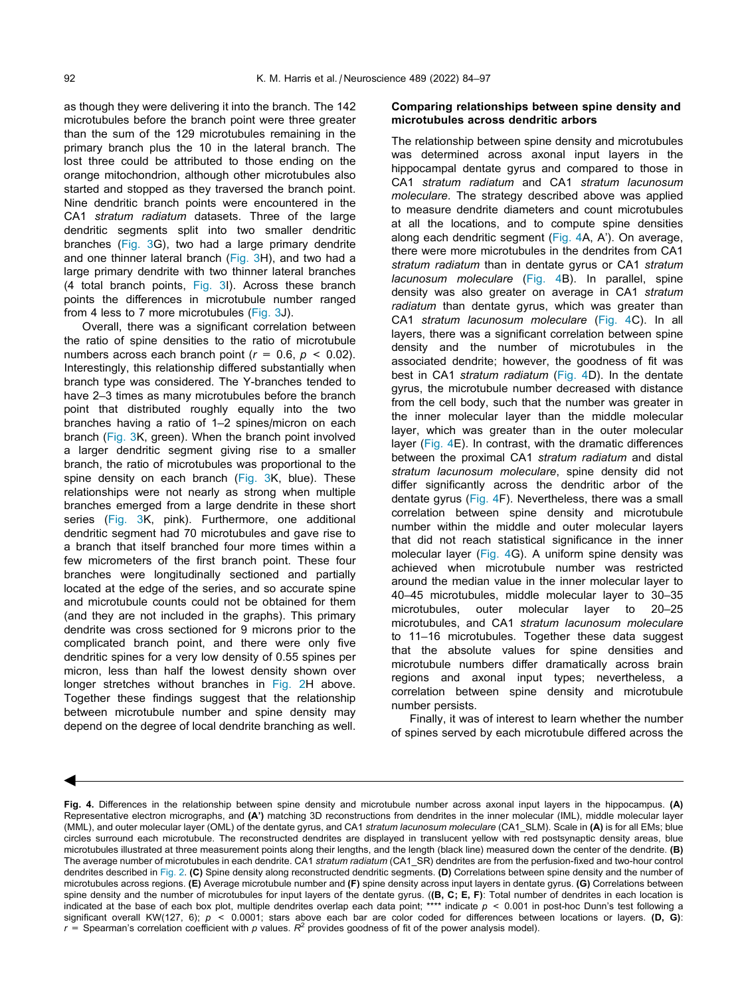$\blacktriangleleft$ 

<span id="page-8-0"></span>as though they were delivering it into the branch. The 142 microtubules before the branch point were three greater than the sum of the 129 microtubules remaining in the primary branch plus the 10 in the lateral branch. The lost three could be attributed to those ending on the orange mitochondrion, although other microtubules also started and stopped as they traversed the branch point. Nine dendritic branch points were encountered in the CA1 stratum radiatum datasets. Three of the large dendritic segments split into two smaller dendritic branches ([Fig. 3](#page-6-0)G), two had a large primary dendrite and one thinner lateral branch [\(Fig. 3](#page-6-0)H), and two had a large primary dendrite with two thinner lateral branches (4 total branch points, [Fig. 3I](#page-6-0)). Across these branch points the differences in microtubule number ranged from 4 less to 7 more microtubules ([Fig. 3J](#page-6-0)).

Overall, there was a significant correlation between the ratio of spine densities to the ratio of microtubule numbers across each branch point ( $r = 0.6$ ,  $p < 0.02$ ). Interestingly, this relationship differed substantially when branch type was considered. The Y-branches tended to have 2–3 times as many microtubules before the branch point that distributed roughly equally into the two branches having a ratio of 1–2 spines/micron on each branch [\(Fig. 3K](#page-6-0), green). When the branch point involved a larger dendritic segment giving rise to a smaller branch, the ratio of microtubules was proportional to the spine density on each branch ([Fig. 3K](#page-6-0), blue). These relationships were not nearly as strong when multiple branches emerged from a large dendrite in these short series [\(Fig. 3](#page-6-0)K, pink). Furthermore, one additional dendritic segment had 70 microtubules and gave rise to a branch that itself branched four more times within a few micrometers of the first branch point. These four branches were longitudinally sectioned and partially located at the edge of the series, and so accurate spine and microtubule counts could not be obtained for them (and they are not included in the graphs). This primary dendrite was cross sectioned for 9 microns prior to the complicated branch point, and there were only five dendritic spines for a very low density of 0.55 spines per micron, less than half the lowest density shown over longer stretches without branches in [Fig. 2](#page-4-0)H above. Together these findings suggest that the relationship between microtubule number and spine density may depend on the degree of local dendrite branching as well.

# Comparing relationships between spine density and microtubules across dendritic arbors

The relationship between spine density and microtubules was determined across axonal input layers in the hippocampal dentate gyrus and compared to those in CA1 stratum radiatum and CA1 stratum lacunosum moleculare. The strategy described above was applied to measure dendrite diameters and count microtubules at all the locations, and to compute spine densities along each dendritic segment (Fig. 4A, A'). On average, there were more microtubules in the dendrites from CA1 stratum radiatum than in dentate gyrus or CA1 stratum lacunosum moleculare (Fig. 4B). In parallel, spine density was also greater on average in CA1 stratum radiatum than dentate gyrus, which was greater than CA1 stratum lacunosum moleculare (Fig. 4C). In all layers, there was a significant correlation between spine density and the number of microtubules in the associated dendrite; however, the goodness of fit was best in CA1 stratum radiatum (Fig. 4D). In the dentate gyrus, the microtubule number decreased with distance from the cell body, such that the number was greater in the inner molecular layer than the middle molecular layer, which was greater than in the outer molecular layer (Fig. 4E). In contrast, with the dramatic differences between the proximal CA1 stratum radiatum and distal stratum lacunosum moleculare, spine density did not differ significantly across the dendritic arbor of the dentate gyrus (Fig. 4F). Nevertheless, there was a small correlation between spine density and microtubule number within the middle and outer molecular layers that did not reach statistical significance in the inner molecular layer (Fig. 4G). A uniform spine density was achieved when microtubule number was restricted around the median value in the inner molecular layer to 40–45 microtubules, middle molecular layer to 30–35 microtubules, outer molecular layer to 20–25 microtubules, and CA1 stratum lacunosum moleculare to 11–16 microtubules. Together these data suggest that the absolute values for spine densities and microtubule numbers differ dramatically across brain regions and axonal input types; nevertheless, a correlation between spine density and microtubule number persists.

Finally, it was of interest to learn whether the number of spines served by each microtubule differed across the

Fig. 4. Differences in the relationship between spine density and microtubule number across axonal input layers in the hippocampus. (A) Representative electron micrographs, and (A') matching 3D reconstructions from dendrites in the inner molecular (IML), middle molecular layer (MML), and outer molecular layer (OML) of the dentate gyrus, and CA1 stratum lacunosum moleculare (CA1\_SLM). Scale in (A) is for all EMs; blue circles surround each microtubule. The reconstructed dendrites are displayed in translucent yellow with red postsynaptic density areas, blue microtubules illustrated at three measurement points along their lengths, and the length (black line) measured down the center of the dendrite. (B) The average number of microtubules in each dendrite. CA1 stratum radiatum (CA1\_SR) dendrites are from the perfusion-fixed and two-hour control dendrites described in [Fig. 2.](#page-4-0) (C) Spine density along reconstructed dendritic segments. (D) Correlations between spine density and the number of microtubules across regions. (E) Average microtubule number and (F) spine density across input layers in dentate gyrus. (G) Correlations between spine density and the number of microtubules for input layers of the dentate gyrus. ((B, C; E, F): Total number of dendrites in each location is indicated at the base of each box plot, multiple dendrites overlap each data point; \*\*\*\* indicate  $p < 0.001$  in post-hoc Dunn's test following a significant overall KW(127, 6);  $p < 0.0001$ ; stars above each bar are color coded for differences between locations or layers. (D, G):  $r =$  Spearman's correlation coefficient with p values.  $R^2$  provides goodness of fit of the power analysis model).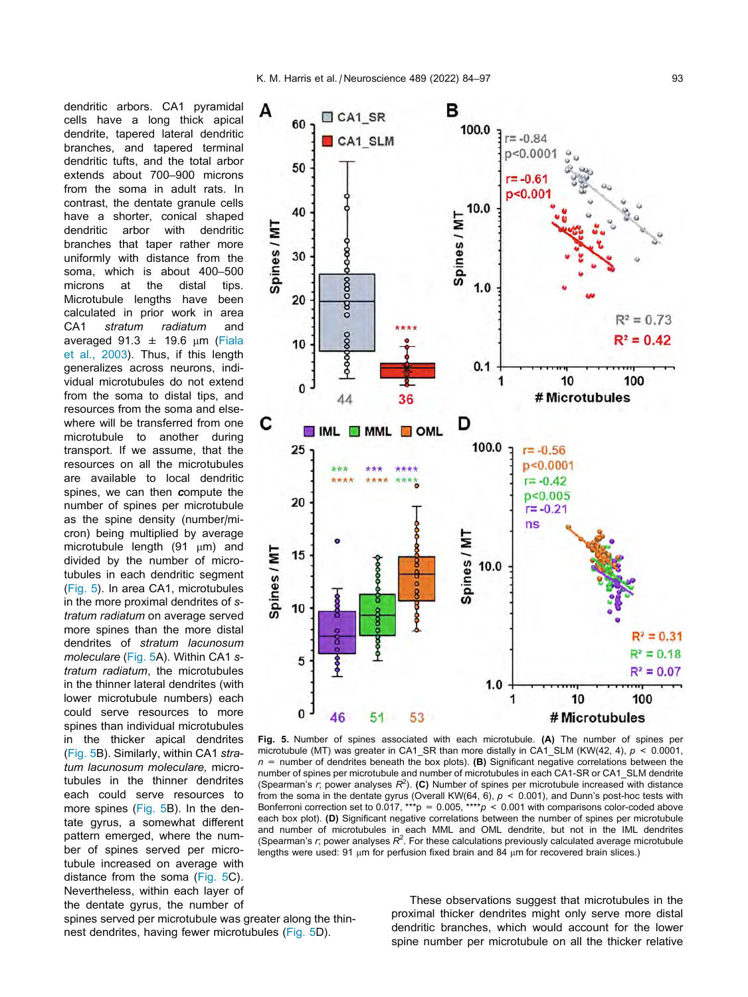dendritic arbors. CA1 pyramidal cells have a long thick apical dendrite, tapered lateral dendritic branches, and tapered terminal dendritic tufts, and the total arbor extends about 700–900 microns from the soma in adult rats. In contrast, the dentate granule cells have a shorter, conical shaped dendritic arbor with dendritic branches that taper rather more uniformly with distance from the soma, which is about 400–500 microns at the distal tips. Microtubule lengths have been calculated in prior work in area CA1 stratum radiatum and averaged 91.3  $\pm$  19.6 µm [\(Fiala](#page-12-0) [et al., 2003](#page-12-0)). Thus, if this length generalizes across neurons, individual microtubules do not extend from the soma to distal tips, and resources from the soma and elsewhere will be transferred from one microtubule to another during transport. If we assume, that the resources on all the microtubules are available to local dendritic spines, we can then compute the number of spines per microtubule as the spine density (number/micron) being multiplied by average microtubule length  $(91 \mu m)$  and divided by the number of microtubules in each dendritic segment (Fig. 5). In area CA1, microtubules in the more proximal dendrites of stratum radiatum on average served more spines than the more distal dendrites of stratum lacunosum moleculare (Fig. 5A). Within CA1 stratum radiatum, the microtubules in the thinner lateral dendrites (with lower microtubule numbers) each could serve resources to more spines than individual microtubules in the thicker apical dendrites (Fig. 5B). Similarly, within CA1 stratum lacunosum moleculare, microtubules in the thinner dendrites each could serve resources to more spines (Fig. 5B). In the dentate gyrus, a somewhat different pattern emerged, where the number of spines served per microtubule increased on average with distance from the soma (Fig. 5C). Nevertheless, within each layer of the dentate gyrus, the number of



Fig. 5. Number of spines associated with each microtubule. (A) The number of spines per microtubule (MT) was greater in CA1\_SR than more distally in CA1\_SLM (KW(42, 4),  $p < 0.0001$ ,  $n =$  number of dendrites beneath the box plots). (B) Significant negative correlations between the number of spines per microtubule and number of microtubules in each CA1-SR or CA1\_SLM dendrite (Spearman's r; power analyses  $R^2$ ). (C) Number of spines per microtubule increased with distance from the soma in the dentate gyrus (Overall KW(64, 6),  $p < 0.001$ ), and Dunn's post-hoc tests with Bonferroni correction set to 0.017, \*\*\*  $p = 0.005$ , \*\*\*  $p < 0.001$  with comparisons color-coded above each box plot). (D) Significant negative correlations between the number of spines per microtubule and number of microtubules in each MML and OML dendrite, but not in the IML dendrites (Spearman's  $r$ ; power analyses  $R^2$ . For these calculations previously calculated average microtubule lengths were used: 91  $\mu$ m for perfusion fixed brain and 84  $\mu$ m for recovered brain slices.)

spines served per microtubule was greater along the thinnest dendrites, having fewer microtubules (Fig. 5D).

These observations suggest that microtubules in the proximal thicker dendrites might only serve more distal dendritic branches, which would account for the lower spine number per microtubule on all the thicker relative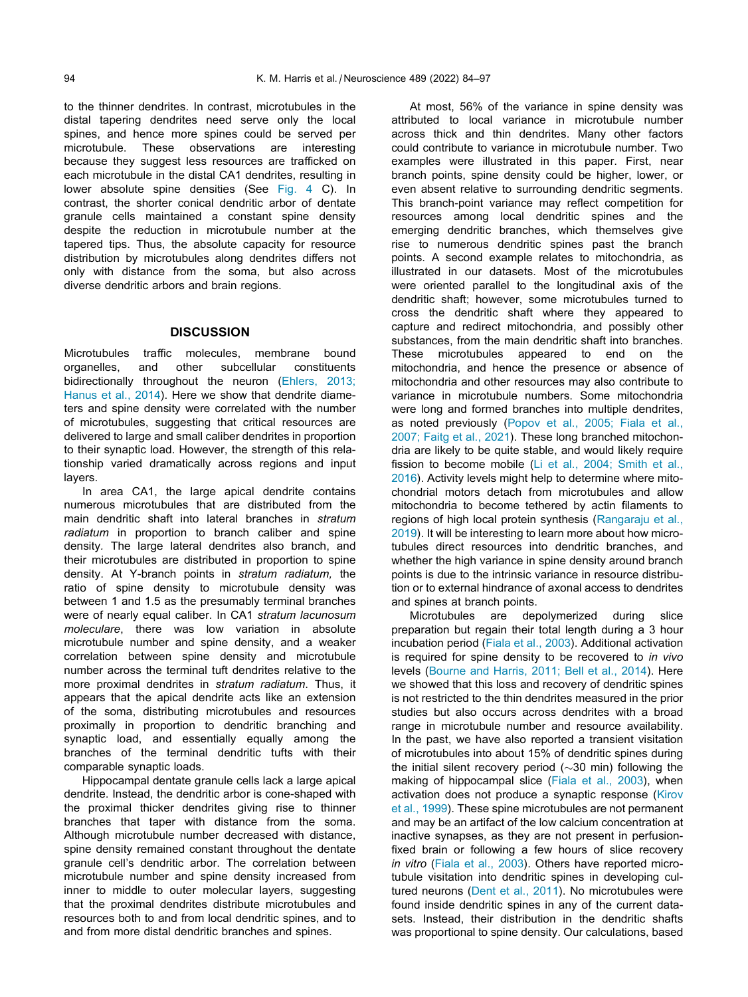to the thinner dendrites. In contrast, microtubules in the distal tapering dendrites need serve only the local spines, and hence more spines could be served per microtubule. These observations are interesting because they suggest less resources are trafficked on each microtubule in the distal CA1 dendrites, resulting in lower absolute spine densities (See [Fig. 4](#page-8-0) C). In contrast, the shorter conical dendritic arbor of dentate granule cells maintained a constant spine density despite the reduction in microtubule number at the tapered tips. Thus, the absolute capacity for resource distribution by microtubules along dendrites differs not only with distance from the soma, but also across diverse dendritic arbors and brain regions.

# **DISCUSSION**

Microtubules traffic molecules, membrane bound organelles, and other subcellular constituents bidirectionally throughout the neuron [\(Ehlers, 2013;](#page-12-0) [Hanus et al., 2014](#page-12-0)). Here we show that dendrite diameters and spine density were correlated with the number of microtubules, suggesting that critical resources are delivered to large and small caliber dendrites in proportion to their synaptic load. However, the strength of this relationship varied dramatically across regions and input layers.

In area CA1, the large apical dendrite contains numerous microtubules that are distributed from the main dendritic shaft into lateral branches in stratum radiatum in proportion to branch caliber and spine density. The large lateral dendrites also branch, and their microtubules are distributed in proportion to spine density. At Y-branch points in stratum radiatum, the ratio of spine density to microtubule density was between 1 and 1.5 as the presumably terminal branches were of nearly equal caliber. In CA1 stratum lacunosum moleculare, there was low variation in absolute microtubule number and spine density, and a weaker correlation between spine density and microtubule number across the terminal tuft dendrites relative to the more proximal dendrites in stratum radiatum. Thus, it appears that the apical dendrite acts like an extension of the soma, distributing microtubules and resources proximally in proportion to dendritic branching and synaptic load, and essentially equally among the branches of the terminal dendritic tufts with their comparable synaptic loads.

Hippocampal dentate granule cells lack a large apical dendrite. Instead, the dendritic arbor is cone-shaped with the proximal thicker dendrites giving rise to thinner branches that taper with distance from the soma. Although microtubule number decreased with distance, spine density remained constant throughout the dentate granule cell's dendritic arbor. The correlation between microtubule number and spine density increased from inner to middle to outer molecular layers, suggesting that the proximal dendrites distribute microtubules and resources both to and from local dendritic spines, and to and from more distal dendritic branches and spines.

At most, 56% of the variance in spine density was attributed to local variance in microtubule number across thick and thin dendrites. Many other factors could contribute to variance in microtubule number. Two examples were illustrated in this paper. First, near branch points, spine density could be higher, lower, or even absent relative to surrounding dendritic segments. This branch-point variance may reflect competition for resources among local dendritic spines and the emerging dendritic branches, which themselves give rise to numerous dendritic spines past the branch points. A second example relates to mitochondria, as illustrated in our datasets. Most of the microtubules were oriented parallel to the longitudinal axis of the dendritic shaft; however, some microtubules turned to cross the dendritic shaft where they appeared to capture and redirect mitochondria, and possibly other substances, from the main dendritic shaft into branches. These microtubules appeared to end on the mitochondria, and hence the presence or absence of mitochondria and other resources may also contribute to variance in microtubule numbers. Some mitochondria were long and formed branches into multiple dendrites, as noted previously [\(Popov et al., 2005; Fiala et al.,](#page-12-0) [2007; Faitg et al., 2021](#page-12-0)). These long branched mitochondria are likely to be quite stable, and would likely require fission to become mobile [\(Li et al., 2004; Smith et al.,](#page-12-0) [2016](#page-12-0)). Activity levels might help to determine where mitochondrial motors detach from microtubules and allow mitochondria to become tethered by actin filaments to regions of high local protein synthesis [\(Rangaraju et al.,](#page-12-0) [2019](#page-12-0)). It will be interesting to learn more about how microtubules direct resources into dendritic branches, and whether the high variance in spine density around branch points is due to the intrinsic variance in resource distribution or to external hindrance of axonal access to dendrites and spines at branch points.

Microtubules are depolymerized during slice preparation but regain their total length during a 3 hour incubation period [\(Fiala et al., 2003\)](#page-12-0). Additional activation is required for spine density to be recovered to in vivo levels ([Bourne and Harris, 2011; Bell et al., 2014](#page-11-0)). Here we showed that this loss and recovery of dendritic spines is not restricted to the thin dendrites measured in the prior studies but also occurs across dendrites with a broad range in microtubule number and resource availability. In the past, we have also reported a transient visitation of microtubules into about 15% of dendritic spines during the initial silent recovery period  $(\sim]30$  min) following the making of hippocampal slice [\(Fiala et al., 2003](#page-12-0)), when activation does not produce a synaptic response [\(Kirov](#page-12-0) [et al., 1999](#page-12-0)). These spine microtubules are not permanent and may be an artifact of the low calcium concentration at inactive synapses, as they are not present in perfusionfixed brain or following a few hours of slice recovery in vitro [\(Fiala](#page-12-0) et al., 2003). Others have reported microtubule visitation into dendritic spines in developing cultured neurons ([Dent et al., 2011](#page-12-0)). No microtubules were found inside dendritic spines in any of the current datasets. Instead, their distribution in the dendritic shafts was proportional to spine density. Our calculations, based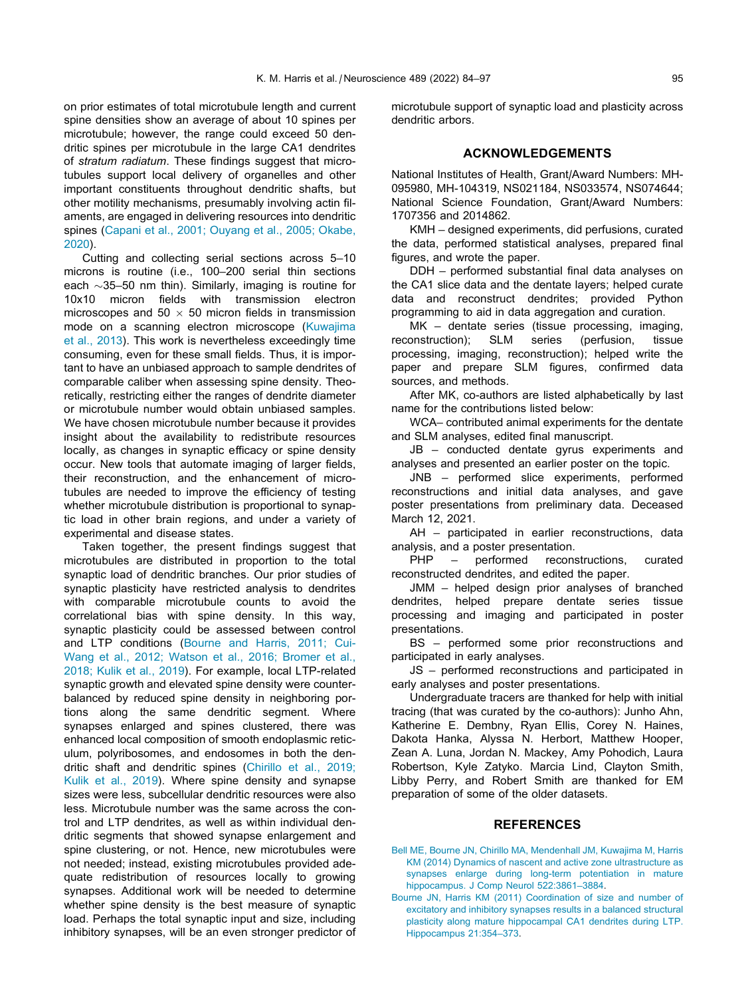<span id="page-11-0"></span>on prior estimates of total microtubule length and current spine densities show an average of about 10 spines per microtubule; however, the range could exceed 50 dendritic spines per microtubule in the large CA1 dendrites of stratum radiatum. These findings suggest that microtubules support local delivery of organelles and other important constituents throughout dendritic shafts, but other motility mechanisms, presumably involving actin filaments, are engaged in delivering resources into dendritic spines ([Capani et al., 2001; Ouyang et al., 2005; Okabe,](#page-12-0) [2020](#page-12-0)).

Cutting and collecting serial sections across 5–10 microns is routine (i.e., 100–200 serial thin sections each  $\sim$ 35–50 nm thin). Similarly, imaging is routine for 10x10 micron fields with transmission electron microscopes and 50  $\times$  50 micron fields in transmission mode on a scanning electron microscope ([Kuwajima](#page-12-0) [et al., 2013\)](#page-12-0). This work is nevertheless exceedingly time consuming, even for these small fields. Thus, it is important to have an unbiased approach to sample dendrites of comparable caliber when assessing spine density. Theoretically, restricting either the ranges of dendrite diameter or microtubule number would obtain unbiased samples. We have chosen microtubule number because it provides insight about the availability to redistribute resources locally, as changes in synaptic efficacy or spine density occur. New tools that automate imaging of larger fields, their reconstruction, and the enhancement of microtubules are needed to improve the efficiency of testing whether microtubule distribution is proportional to synaptic load in other brain regions, and under a variety of experimental and disease states.

Taken together, the present findings suggest that microtubules are distributed in proportion to the total synaptic load of dendritic branches. Our prior studies of synaptic plasticity have restricted analysis to dendrites with comparable microtubule counts to avoid the correlational bias with spine density. In this way, synaptic plasticity could be assessed between control and LTP conditions (Bourne and Harris, 2011; Cui-Wang et al., 2012; Watson et al., 2016; Bromer et al., 2018; Kulik et al., 2019). For example, local LTP-related synaptic growth and elevated spine density were counterbalanced by reduced spine density in neighboring portions along the same dendritic segment. Where synapses enlarged and spines clustered, there was enhanced local composition of smooth endoplasmic reticulum, polyribosomes, and endosomes in both the dendritic shaft and dendritic spines ([Chirillo et al., 2019;](#page-12-0) [Kulik et al., 2019\)](#page-12-0). Where spine density and synapse sizes were less, subcellular dendritic resources were also less. Microtubule number was the same across the control and LTP dendrites, as well as within individual dendritic segments that showed synapse enlargement and spine clustering, or not. Hence, new microtubules were not needed; instead, existing microtubules provided adequate redistribution of resources locally to growing synapses. Additional work will be needed to determine whether spine density is the best measure of synaptic load. Perhaps the total synaptic input and size, including inhibitory synapses, will be an even stronger predictor of microtubule support of synaptic load and plasticity across dendritic arbors.

# ACKNOWLEDGEMENTS

National Institutes of Health, Grant/Award Numbers: MH-095980, MH-104319, NS021184, NS033574, NS074644; National Science Foundation, Grant/Award Numbers: 1707356 and 2014862.

KMH – designed experiments, did perfusions, curated the data, performed statistical analyses, prepared final figures, and wrote the paper.

DDH – performed substantial final data analyses on the CA1 slice data and the dentate layers; helped curate data and reconstruct dendrites; provided Python programming to aid in data aggregation and curation.

MK - dentate series (tissue processing, imaging, reconstruction); SLM series (perfusion, tissue processing, imaging, reconstruction); helped write the paper and prepare SLM figures, confirmed data sources, and methods.

After MK, co-authors are listed alphabetically by last name for the contributions listed below:

WCA– contributed animal experiments for the dentate and SLM analyses, edited final manuscript.

JB – conducted dentate gyrus experiments and analyses and presented an earlier poster on the topic.

JNB – performed slice experiments, performed reconstructions and initial data analyses, and gave poster presentations from preliminary data. Deceased March 12, 2021.

AH – participated in earlier reconstructions, data

analysis, and a poster presentation.<br>PHP – performed recons PHP – performed reconstructions, curated reconstructed dendrites, and edited the paper.

JMM – helped design prior analyses of branched dendrites, helped prepare dentate series tissue processing and imaging and participated in poster presentations.

BS – performed some prior reconstructions and participated in early analyses.

JS – performed reconstructions and participated in early analyses and poster presentations.

Undergraduate tracers are thanked for help with initial tracing (that was curated by the co-authors): Junho Ahn, Katherine E. Dembny, Ryan Ellis, Corey N. Haines, Dakota Hanka, Alyssa N. Herbort, Matthew Hooper, Zean A. Luna, Jordan N. Mackey, Amy Pohodich, Laura Robertson, Kyle Zatyko. Marcia Lind, Clayton Smith, Libby Perry, and Robert Smith are thanked for EM preparation of some of the older datasets.

## REFERENCES

- [Bell ME, Bourne JN, Chirillo MA, Mendenhall JM, Kuwajima M, Harris](http://refhub.elsevier.com/S0306-4522(22)00084-7/h0005) [KM \(2014\) Dynamics of nascent and active zone ultrastructure as](http://refhub.elsevier.com/S0306-4522(22)00084-7/h0005) [synapses enlarge during long-term potentiation in mature](http://refhub.elsevier.com/S0306-4522(22)00084-7/h0005) [hippocampus. J Comp Neurol 522:3861–3884.](http://refhub.elsevier.com/S0306-4522(22)00084-7/h0005)
- [Bourne JN, Harris KM \(2011\) Coordination of size and number of](http://refhub.elsevier.com/S0306-4522(22)00084-7/h0010) [excitatory and inhibitory synapses results in a balanced structural](http://refhub.elsevier.com/S0306-4522(22)00084-7/h0010) [plasticity along mature hippocampal CA1 dendrites during LTP.](http://refhub.elsevier.com/S0306-4522(22)00084-7/h0010) [Hippocampus 21:354–373](http://refhub.elsevier.com/S0306-4522(22)00084-7/h0010).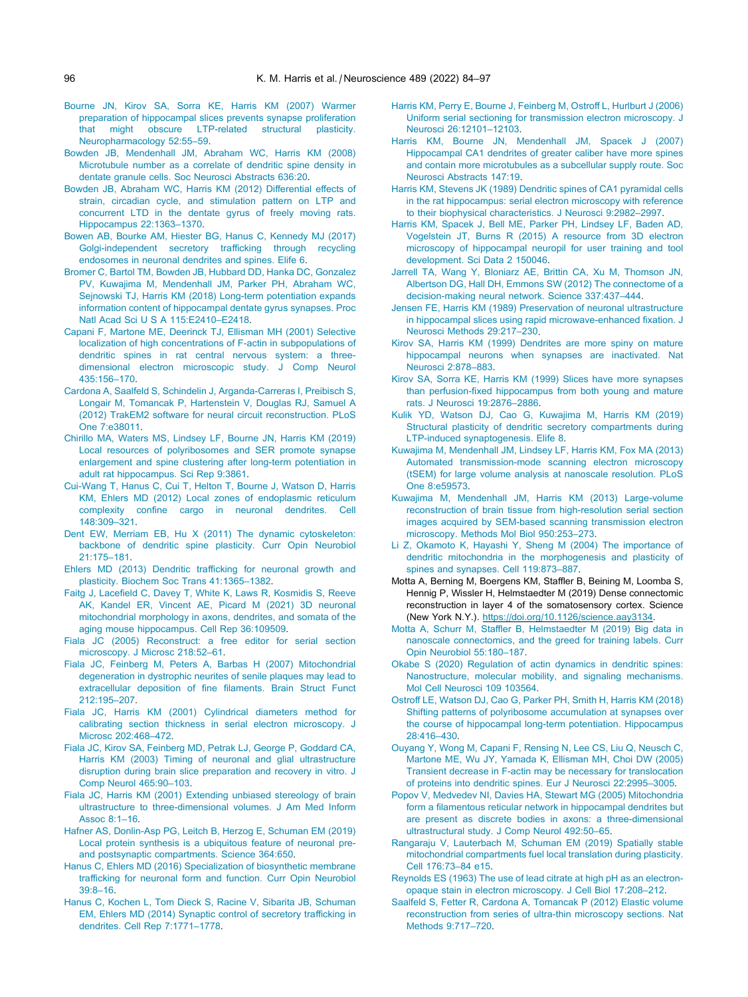- <span id="page-12-0"></span>[Bourne JN, Kirov SA, Sorra KE, Harris KM \(2007\) Warmer](http://refhub.elsevier.com/S0306-4522(22)00084-7/h0015) [preparation of hippocampal slices prevents synapse proliferation](http://refhub.elsevier.com/S0306-4522(22)00084-7/h0015) [that might obscure LTP-related structural plasticity.](http://refhub.elsevier.com/S0306-4522(22)00084-7/h0015) [Neuropharmacology 52:55–59.](http://refhub.elsevier.com/S0306-4522(22)00084-7/h0015)
- [Bowden JB, Mendenhall JM, Abraham WC, Harris KM \(2008\)](http://refhub.elsevier.com/S0306-4522(22)00084-7/h0020) [Microtubule number as a correlate of dendritic spine density in](http://refhub.elsevier.com/S0306-4522(22)00084-7/h0020) [dentate granule cells. Soc Neurosci Abstracts 636:20.](http://refhub.elsevier.com/S0306-4522(22)00084-7/h0020)
- [Bowden JB, Abraham WC, Harris KM \(2012\) Differential effects of](http://refhub.elsevier.com/S0306-4522(22)00084-7/h0025) [strain, circadian cycle, and stimulation pattern on LTP and](http://refhub.elsevier.com/S0306-4522(22)00084-7/h0025) [concurrent LTD in the dentate gyrus of freely moving rats.](http://refhub.elsevier.com/S0306-4522(22)00084-7/h0025) [Hippocampus 22:1363–1370.](http://refhub.elsevier.com/S0306-4522(22)00084-7/h0025)
- [Bowen AB, Bourke AM, Hiester BG, Hanus C, Kennedy MJ \(2017\)](http://refhub.elsevier.com/S0306-4522(22)00084-7/h0030) [Golgi-independent secretory trafficking through recycling](http://refhub.elsevier.com/S0306-4522(22)00084-7/h0030) [endosomes in neuronal dendrites and spines. Elife 6.](http://refhub.elsevier.com/S0306-4522(22)00084-7/h0030)
- [Bromer C, Bartol TM, Bowden JB, Hubbard DD, Hanka DC, Gonzalez](http://refhub.elsevier.com/S0306-4522(22)00084-7/h0035) [PV, Kuwajima M, Mendenhall JM, Parker PH, Abraham WC,](http://refhub.elsevier.com/S0306-4522(22)00084-7/h0035) [Sejnowski TJ, Harris KM \(2018\) Long-term potentiation expands](http://refhub.elsevier.com/S0306-4522(22)00084-7/h0035) [information content of hippocampal dentate gyrus synapses. Proc](http://refhub.elsevier.com/S0306-4522(22)00084-7/h0035) [Natl Acad Sci U S A 115:E2410–E2418.](http://refhub.elsevier.com/S0306-4522(22)00084-7/h0035)
- [Capani F, Martone ME, Deerinck TJ, Ellisman MH \(2001\) Selective](http://refhub.elsevier.com/S0306-4522(22)00084-7/h0040) [localization of high concentrations of F-actin in subpopulations of](http://refhub.elsevier.com/S0306-4522(22)00084-7/h0040) [dendritic spines in rat central nervous system: a three](http://refhub.elsevier.com/S0306-4522(22)00084-7/h0040)[dimensional electron microscopic study. J Comp Neurol](http://refhub.elsevier.com/S0306-4522(22)00084-7/h0040) [435:156–170](http://refhub.elsevier.com/S0306-4522(22)00084-7/h0040).
- [Cardona A, Saalfeld S, Schindelin J, Arganda-Carreras I, Preibisch S,](http://refhub.elsevier.com/S0306-4522(22)00084-7/h0045) [Longair M, Tomancak P, Hartenstein V, Douglas RJ, Samuel A](http://refhub.elsevier.com/S0306-4522(22)00084-7/h0045) [\(2012\) TrakEM2 software for neural circuit reconstruction. PLoS](http://refhub.elsevier.com/S0306-4522(22)00084-7/h0045) [One 7:e38011.](http://refhub.elsevier.com/S0306-4522(22)00084-7/h0045)
- [Chirillo MA, Waters MS, Lindsey LF, Bourne JN, Harris KM \(2019\)](http://refhub.elsevier.com/S0306-4522(22)00084-7/h0050) [Local resources of polyribosomes and SER promote synapse](http://refhub.elsevier.com/S0306-4522(22)00084-7/h0050) [enlargement and spine clustering after long-term potentiation in](http://refhub.elsevier.com/S0306-4522(22)00084-7/h0050) [adult rat hippocampus. Sci Rep 9:3861](http://refhub.elsevier.com/S0306-4522(22)00084-7/h0050).
- [Cui-Wang T, Hanus C, Cui T, Helton T, Bourne J, Watson D, Harris](http://refhub.elsevier.com/S0306-4522(22)00084-7/h0055) [KM, Ehlers MD \(2012\) Local zones of endoplasmic reticulum](http://refhub.elsevier.com/S0306-4522(22)00084-7/h0055) [complexity confine cargo in neuronal dendrites. Cell](http://refhub.elsevier.com/S0306-4522(22)00084-7/h0055) [148:309–321](http://refhub.elsevier.com/S0306-4522(22)00084-7/h0055).
- [Dent EW, Merriam EB, Hu X \(2011\) The dynamic cytoskeleton:](http://refhub.elsevier.com/S0306-4522(22)00084-7/h0060) [backbone of dendritic spine plasticity. Curr Opin Neurobiol](http://refhub.elsevier.com/S0306-4522(22)00084-7/h0060) [21:175–181](http://refhub.elsevier.com/S0306-4522(22)00084-7/h0060).
- [Ehlers MD \(2013\) Dendritic trafficking for neuronal growth and](http://refhub.elsevier.com/S0306-4522(22)00084-7/h0065) [plasticity. Biochem Soc Trans 41:1365–1382.](http://refhub.elsevier.com/S0306-4522(22)00084-7/h0065)
- [Faitg J, Lacefield C, Davey T, White K, Laws R, Kosmidis S, Reeve](http://refhub.elsevier.com/S0306-4522(22)00084-7/h0070) [AK, Kandel ER, Vincent AE, Picard M \(2021\) 3D neuronal](http://refhub.elsevier.com/S0306-4522(22)00084-7/h0070) [mitochondrial morphology in axons, dendrites, and somata of the](http://refhub.elsevier.com/S0306-4522(22)00084-7/h0070) [aging mouse hippocampus. Cell Rep 36:109509.](http://refhub.elsevier.com/S0306-4522(22)00084-7/h0070)
- [Fiala JC \(2005\) Reconstruct: a free editor for serial section](http://refhub.elsevier.com/S0306-4522(22)00084-7/h0075) [microscopy. J Microsc 218:52–61.](http://refhub.elsevier.com/S0306-4522(22)00084-7/h0075)
- [Fiala JC, Feinberg M, Peters A, Barbas H \(2007\) Mitochondrial](http://refhub.elsevier.com/S0306-4522(22)00084-7/h0080) [degeneration in dystrophic neurites of senile plaques may lead to](http://refhub.elsevier.com/S0306-4522(22)00084-7/h0080) [extracellular deposition of fine filaments. Brain Struct Funct](http://refhub.elsevier.com/S0306-4522(22)00084-7/h0080) [212:195–207](http://refhub.elsevier.com/S0306-4522(22)00084-7/h0080).
- [Fiala JC, Harris KM \(2001\) Cylindrical diameters method for](http://refhub.elsevier.com/S0306-4522(22)00084-7/h0085) [calibrating section thickness in serial electron microscopy. J](http://refhub.elsevier.com/S0306-4522(22)00084-7/h0085) [Microsc 202:468–472](http://refhub.elsevier.com/S0306-4522(22)00084-7/h0085).
- [Fiala JC, Kirov SA, Feinberg MD, Petrak LJ, George P, Goddard CA,](http://refhub.elsevier.com/S0306-4522(22)00084-7/h0090) [Harris KM \(2003\) Timing of neuronal and glial ultrastructure](http://refhub.elsevier.com/S0306-4522(22)00084-7/h0090) [disruption during brain slice preparation and recovery in vitro. J](http://refhub.elsevier.com/S0306-4522(22)00084-7/h0090) [Comp Neurol 465:90–103](http://refhub.elsevier.com/S0306-4522(22)00084-7/h0090).
- [Fiala JC, Harris KM \(2001\) Extending unbiased stereology of brain](http://refhub.elsevier.com/S0306-4522(22)00084-7/h0095) [ultrastructure to three-dimensional volumes. J Am Med Inform](http://refhub.elsevier.com/S0306-4522(22)00084-7/h0095) [Assoc 8:1–16.](http://refhub.elsevier.com/S0306-4522(22)00084-7/h0095)
- [Hafner AS, Donlin-Asp PG, Leitch B, Herzog E, Schuman EM \(2019\)](http://refhub.elsevier.com/S0306-4522(22)00084-7/h0100) [Local protein synthesis is a ubiquitous feature of neuronal pre](http://refhub.elsevier.com/S0306-4522(22)00084-7/h0100)[and postsynaptic compartments. Science 364:650.](http://refhub.elsevier.com/S0306-4522(22)00084-7/h0100)
- [Hanus C, Ehlers MD \(2016\) Specialization of biosynthetic membrane](http://refhub.elsevier.com/S0306-4522(22)00084-7/h0105) [trafficking for neuronal form and function. Curr Opin Neurobiol](http://refhub.elsevier.com/S0306-4522(22)00084-7/h0105) [39:8–16.](http://refhub.elsevier.com/S0306-4522(22)00084-7/h0105)
- [Hanus C, Kochen L, Tom Dieck S, Racine V, Sibarita JB, Schuman](http://refhub.elsevier.com/S0306-4522(22)00084-7/h0110) [EM, Ehlers MD \(2014\) Synaptic control of secretory trafficking in](http://refhub.elsevier.com/S0306-4522(22)00084-7/h0110) [dendrites. Cell Rep 7:1771–1778.](http://refhub.elsevier.com/S0306-4522(22)00084-7/h0110)
- [Harris KM, Perry E, Bourne J, Feinberg M, Ostroff L, Hurlburt J \(2006\)](http://refhub.elsevier.com/S0306-4522(22)00084-7/h0115) [Uniform serial sectioning for transmission electron microscopy. J](http://refhub.elsevier.com/S0306-4522(22)00084-7/h0115) [Neurosci 26:12101–12103.](http://refhub.elsevier.com/S0306-4522(22)00084-7/h0115)
- [Harris KM, Bourne JN, Mendenhall JM, Spacek J \(2007\)](http://refhub.elsevier.com/S0306-4522(22)00084-7/h0120) [Hippocampal CA1 dendrites of greater caliber have more spines](http://refhub.elsevier.com/S0306-4522(22)00084-7/h0120) [and contain more microtubules as a subcellular supply route. Soc](http://refhub.elsevier.com/S0306-4522(22)00084-7/h0120) [Neurosci Abstracts 147:19](http://refhub.elsevier.com/S0306-4522(22)00084-7/h0120).
- [Harris KM, Stevens JK \(1989\) Dendritic spines of CA1 pyramidal cells](http://refhub.elsevier.com/S0306-4522(22)00084-7/h0125) [in the rat hippocampus: serial electron microscopy with reference](http://refhub.elsevier.com/S0306-4522(22)00084-7/h0125) [to their biophysical characteristics. J Neurosci 9:2982–2997](http://refhub.elsevier.com/S0306-4522(22)00084-7/h0125).
- [Harris KM, Spacek J, Bell ME, Parker PH, Lindsey LF, Baden AD,](http://refhub.elsevier.com/S0306-4522(22)00084-7/h0130) [Vogelstein JT, Burns R \(2015\) A resource from 3D electron](http://refhub.elsevier.com/S0306-4522(22)00084-7/h0130) [microscopy of hippocampal neuropil for user training and tool](http://refhub.elsevier.com/S0306-4522(22)00084-7/h0130) [development. Sci Data 2 150046](http://refhub.elsevier.com/S0306-4522(22)00084-7/h0130).
- [Jarrell TA, Wang Y, Bloniarz AE, Brittin CA, Xu M, Thomson JN,](http://refhub.elsevier.com/S0306-4522(22)00084-7/h0135) [Albertson DG, Hall DH, Emmons SW \(2012\) The connectome of a](http://refhub.elsevier.com/S0306-4522(22)00084-7/h0135) [decision-making neural network. Science 337:437–444.](http://refhub.elsevier.com/S0306-4522(22)00084-7/h0135)
- [Jensen FE, Harris KM \(1989\) Preservation of neuronal ultrastructure](http://refhub.elsevier.com/S0306-4522(22)00084-7/h0140) [in hippocampal slices using rapid microwave-enhanced fixation. J](http://refhub.elsevier.com/S0306-4522(22)00084-7/h0140) [Neurosci Methods 29:217–230](http://refhub.elsevier.com/S0306-4522(22)00084-7/h0140).
- [Kirov SA, Harris KM \(1999\) Dendrites are more spiny on mature](http://refhub.elsevier.com/S0306-4522(22)00084-7/h0145) [hippocampal neurons when synapses are inactivated. Nat](http://refhub.elsevier.com/S0306-4522(22)00084-7/h0145) [Neurosci 2:878–883](http://refhub.elsevier.com/S0306-4522(22)00084-7/h0145).
- [Kirov SA, Sorra KE, Harris KM \(1999\) Slices have more synapses](http://refhub.elsevier.com/S0306-4522(22)00084-7/h0150) [than perfusion-fixed hippocampus from both young and mature](http://refhub.elsevier.com/S0306-4522(22)00084-7/h0150) [rats. J Neurosci 19:2876–2886.](http://refhub.elsevier.com/S0306-4522(22)00084-7/h0150)
- [Kulik YD, Watson DJ, Cao G, Kuwajima M, Harris KM \(2019\)](http://refhub.elsevier.com/S0306-4522(22)00084-7/h0155) [Structural plasticity of dendritic secretory compartments during](http://refhub.elsevier.com/S0306-4522(22)00084-7/h0155) [LTP-induced synaptogenesis. Elife 8.](http://refhub.elsevier.com/S0306-4522(22)00084-7/h0155)
- [Kuwajima M, Mendenhall JM, Lindsey LF, Harris KM, Fox MA \(2013\)](http://refhub.elsevier.com/S0306-4522(22)00084-7/h0160) [Automated transmission-mode scanning electron microscopy](http://refhub.elsevier.com/S0306-4522(22)00084-7/h0160) [\(tSEM\) for large volume analysis at nanoscale resolution. PLoS](http://refhub.elsevier.com/S0306-4522(22)00084-7/h0160) [One 8:e59573.](http://refhub.elsevier.com/S0306-4522(22)00084-7/h0160)
- [Kuwajima M, Mendenhall JM, Harris KM \(2013\) Large-volume](http://refhub.elsevier.com/S0306-4522(22)00084-7/h0165) [reconstruction of brain tissue from high-resolution serial section](http://refhub.elsevier.com/S0306-4522(22)00084-7/h0165) [images acquired by SEM-based scanning transmission electron](http://refhub.elsevier.com/S0306-4522(22)00084-7/h0165) [microscopy. Methods Mol Biol 950:253–273](http://refhub.elsevier.com/S0306-4522(22)00084-7/h0165).
- [Li Z, Okamoto K, Hayashi Y, Sheng M \(2004\) The importance of](http://refhub.elsevier.com/S0306-4522(22)00084-7/h0170) [dendritic mitochondria in the morphogenesis and plasticity of](http://refhub.elsevier.com/S0306-4522(22)00084-7/h0170) [spines and synapses. Cell 119:873–887.](http://refhub.elsevier.com/S0306-4522(22)00084-7/h0170)
- Motta A, Berning M, Boergens KM, Staffler B, Beining M, Loomba S, Hennig P, Wissler H, Helmstaedter M (2019) Dense connectomic reconstruction in layer 4 of the somatosensory cortex. Science (New York N.Y.). <https://doi.org/10.1126/science.aay3134>.
- [Motta A, Schurr M, Staffler B, Helmstaedter M \(2019\) Big data in](http://refhub.elsevier.com/S0306-4522(22)00084-7/h0180) [nanoscale connectomics, and the greed for training labels. Curr](http://refhub.elsevier.com/S0306-4522(22)00084-7/h0180) [Opin Neurobiol 55:180–187.](http://refhub.elsevier.com/S0306-4522(22)00084-7/h0180)
- [Okabe S \(2020\) Regulation of actin dynamics in dendritic spines:](http://refhub.elsevier.com/S0306-4522(22)00084-7/h0185) [Nanostructure, molecular mobility, and signaling mechanisms.](http://refhub.elsevier.com/S0306-4522(22)00084-7/h0185) [Mol Cell Neurosci 109 103564](http://refhub.elsevier.com/S0306-4522(22)00084-7/h0185).
- [Ostroff LE, Watson DJ, Cao G, Parker PH, Smith H, Harris KM \(2018\)](http://refhub.elsevier.com/S0306-4522(22)00084-7/h0190) [Shifting patterns of polyribosome accumulation at synapses over](http://refhub.elsevier.com/S0306-4522(22)00084-7/h0190) [the course of hippocampal long-term potentiation. Hippocampus](http://refhub.elsevier.com/S0306-4522(22)00084-7/h0190) [28:416–430](http://refhub.elsevier.com/S0306-4522(22)00084-7/h0190).
- [Ouyang Y, Wong M, Capani F, Rensing N, Lee CS, Liu Q, Neusch C,](http://refhub.elsevier.com/S0306-4522(22)00084-7/h0195) [Martone ME, Wu JY, Yamada K, Ellisman MH, Choi DW \(2005\)](http://refhub.elsevier.com/S0306-4522(22)00084-7/h0195) [Transient decrease in F-actin may be necessary for translocation](http://refhub.elsevier.com/S0306-4522(22)00084-7/h0195) [of proteins into dendritic spines. Eur J Neurosci 22:2995–3005](http://refhub.elsevier.com/S0306-4522(22)00084-7/h0195).
- [Popov V, Medvedev NI, Davies HA, Stewart MG \(2005\) Mitochondria](http://refhub.elsevier.com/S0306-4522(22)00084-7/h0200) [form a filamentous reticular network in hippocampal dendrites but](http://refhub.elsevier.com/S0306-4522(22)00084-7/h0200) [are present as discrete bodies in axons: a three-dimensional](http://refhub.elsevier.com/S0306-4522(22)00084-7/h0200) [ultrastructural study. J Comp Neurol 492:50–65.](http://refhub.elsevier.com/S0306-4522(22)00084-7/h0200)
- [Rangaraju V, Lauterbach M, Schuman EM \(2019\) Spatially stable](http://refhub.elsevier.com/S0306-4522(22)00084-7/h0205) [mitochondrial compartments fuel local translation during plasticity.](http://refhub.elsevier.com/S0306-4522(22)00084-7/h0205) [Cell 176:73–84 e15.](http://refhub.elsevier.com/S0306-4522(22)00084-7/h0205)
- [Reynolds ES \(1963\) The use of lead citrate at high pH as an electron](http://refhub.elsevier.com/S0306-4522(22)00084-7/h0210)[opaque stain in electron microscopy. J Cell Biol 17:208–212](http://refhub.elsevier.com/S0306-4522(22)00084-7/h0210).
- [Saalfeld S, Fetter R, Cardona A, Tomancak P \(2012\) Elastic volume](http://refhub.elsevier.com/S0306-4522(22)00084-7/h0215) [reconstruction from series of ultra-thin microscopy sections. Nat](http://refhub.elsevier.com/S0306-4522(22)00084-7/h0215) [Methods 9:717–720.](http://refhub.elsevier.com/S0306-4522(22)00084-7/h0215)